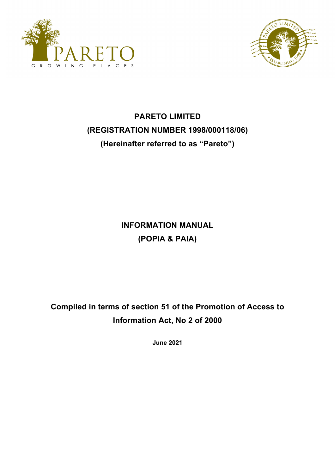



# **PARETO LIMITED (REGISTRATION NUMBER 1998/000118/06) (Hereinafter referred to as "Pareto")**

**INFORMATION MANUAL (POPIA & PAIA)**

**Compiled in terms of section 51 of the Promotion of Access to Information Act, No 2 of 2000**

**June 2021**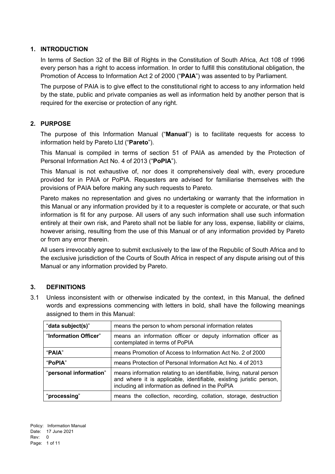# **1. INTRODUCTION**

In terms of Section 32 of the Bill of Rights in the Constitution of South Africa, Act 108 of 1996 every person has a right to access information. In order to fulfill this constitutional obligation, the Promotion of Access to Information Act 2 of 2000 ("**PAIA**") was assented to by Parliament.

The purpose of PAIA is to give effect to the constitutional right to access to any information held by the state, public and private companies as well as information held by another person that is required for the exercise or protection of any right.

# **2. PURPOSE**

The purpose of this Information Manual ("**Manual**") is to facilitate requests for access to information held by Pareto Ltd ("**Pareto**").

This Manual is compiled in terms of section 51 of PAIA as amended by the Protection of Personal Information Act No. 4 of 2013 ("**PoPIA**").

This Manual is not exhaustive of, nor does it comprehensively deal with, every procedure provided for in PAIA or PoPIA. Requesters are advised for familiarise themselves with the provisions of PAIA before making any such requests to Pareto.

Pareto makes no representation and gives no undertaking or warranty that the information in this Manual or any information provided by it to a requester is complete or accurate, or that such information is fit for any purpose. All users of any such information shall use such information entirely at their own risk, and Pareto shall not be liable for any loss, expense, liability or claims, however arising, resulting from the use of this Manual or of any information provided by Pareto or from any error therein.

All users irrevocably agree to submit exclusively to the law of the Republic of South Africa and to the exclusive jurisdiction of the Courts of South Africa in respect of any dispute arising out of this Manual or any information provided by Pareto.

#### **3. DEFINITIONS**

3.1 Unless inconsistent with or otherwise indicated by the context, in this Manual, the defined words and expressions commencing with letters in bold, shall have the following meanings assigned to them in this Manual:

| "data subject(s)"      | means the person to whom personal information relates                                                                                                                                             |
|------------------------|---------------------------------------------------------------------------------------------------------------------------------------------------------------------------------------------------|
| "Information Officer"  | means an information officer or deputy information officer as<br>contemplated in terms of PoPIA                                                                                                   |
| "PAIA"                 | means Promotion of Access to Information Act No. 2 of 2000                                                                                                                                        |
| "PoPIA"                | means Protection of Personal Information Act No. 4 of 2013                                                                                                                                        |
| "personal information" | means information relating to an identifiable, living, natural person<br>and where it is applicable, identifiable, existing juristic person,<br>including all information as defined in the PoPIA |
| "processing"           | means the collection, recording, collation, storage, destruction                                                                                                                                  |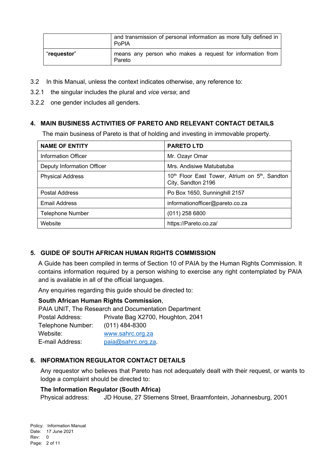|             | and transmission of personal information as more fully defined in<br>PoPIA |
|-------------|----------------------------------------------------------------------------|
| "requestor" | means any person who makes a request for information from<br>Pareto        |

- 3.2 In this Manual, unless the context indicates otherwise, any reference to:
- 3.2.1 the singular includes the plural and *vice versa*; and
- 3.2.2 one gender includes all genders.

# **4. MAIN BUSINESS ACTIVITIES OF PARETO AND RELEVANT CONTACT DETAILS**

The main business of Pareto is that of holding and investing in immovable property.

| <b>NAME OF ENTITY</b>      | <b>PARETO LTD</b>                                                                            |
|----------------------------|----------------------------------------------------------------------------------------------|
| <b>Information Officer</b> | Mr. Ozayr Omar                                                                               |
| Deputy Information Officer | Mrs. Andisiwe Matubatuba                                                                     |
| <b>Physical Address</b>    | 10 <sup>th</sup> Floor East Tower, Atrium on 5 <sup>th</sup> , Sandton<br>City, Sandton 2196 |
| Postal Address             | Po Box 1650, Sunninghill 2157                                                                |
| <b>Email Address</b>       | informationofficer@pareto.co.za                                                              |
| <b>Telephone Number</b>    | $(011)$ 258 6800                                                                             |
| Website                    | https://Pareto.co.za/                                                                        |

# **5. GUIDE OF SOUTH AFRICAN HUMAN RIGHTS COMMISSION**

A Guide has been compiled in terms of Section 10 of PAIA by the Human Rights Commission. It contains information required by a person wishing to exercise any right contemplated by PAIA and is available in all of the official languages.

Any enquiries regarding this guide should be directed to:

# **South African Human Rights Commission**,

PAIA UNIT, The Research and Documentation Department Postal Address: Private Bag X2700, Houghton, 2041 Telephone Number: (011) 484-8300 Website: www.sahrc.org.za E-mail Address: paia@sahrc.org.za.

# **6. INFORMATION REGULATOR CONTACT DETAILS**

Any requestor who believes that Pareto has not adequately dealt with their request, or wants to lodge a complaint should be directed to:

#### **The Information Regulator (South Africa)**

Physical address: JD House, 27 Stiemens Street, Braamfontein, Johannesburg, 2001

Policy: Information Manual Date: 17 June 2021 Rev: 0 Page: 2 of 11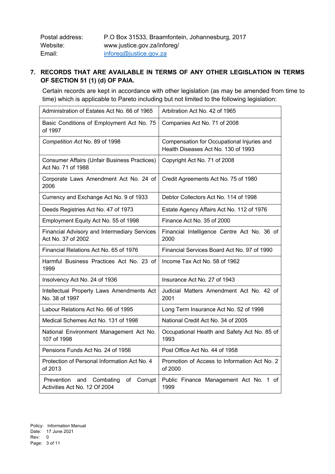| Postal address: | P.O Box 31533, Braamfontein, Johannesburg, 2017 |
|-----------------|-------------------------------------------------|
| Website:        | www.justice.gov.za/inforeg/                     |
| Email:          | inforeg@justice.gov.za                          |

# **7. RECORDS THAT ARE AVAILABLE IN TERMS OF ANY OTHER LEGISLATION IN TERMS OF SECTION 51 (1) (d) OF PAIA.**

Certain records are kept in accordance with other legislation (as may be amended from time to time) which is applicable to Pareto including but not limited to the following legislation:

| Administration of Estates Act No. 66 of 1965                               | Arbitration Act No. 42 of 1965                                                    |
|----------------------------------------------------------------------------|-----------------------------------------------------------------------------------|
| Basic Conditions of Employment Act No. 75<br>of 1997                       | Companies Act No. 71 of 2008                                                      |
| Competition Act No. 89 of 1998                                             | Compensation for Occupational Injuries and<br>Health Diseases Act No. 130 of 1993 |
| <b>Consumer Affairs (Unfair Business Practices)</b><br>Act No. 71 of 1988  | Copyright Act No. 71 of 2008                                                      |
| Corporate Laws Amendment Act No. 24 of<br>2006                             | Credit Agreements Act No. 75 of 1980                                              |
| Currency and Exchange Act No. 9 of 1933                                    | Debtor Collectors Act No. 114 of 1998                                             |
| Deeds Registries Act No. 47 of 1973                                        | Estate Agency Affairs Act No. 112 of 1976                                         |
| Employment Equity Act No. 55 of 1998                                       | Finance Act No. 35 of 2000                                                        |
| Financial Advisory and Intermediary Services<br>Act No. 37 of 2002         | Financial Intelligence Centre Act No. 36 of<br>2000                               |
| Financial Relations Act No. 65 of 1976                                     | Financial Services Board Act No. 97 of 1990                                       |
| Harmful Business Practices Act No. 23 of<br>1999                           | Income Tax Act No. 58 of 1962                                                     |
| Insolvency Act No. 24 of 1936                                              | Insurance Act No. 27 of 1943                                                      |
| Intellectual Property Laws Amendments Act<br>No. 38 of 1997                | Judicial Matters Amendment Act No. 42 of<br>2001                                  |
| Labour Relations Act No. 66 of 1995                                        | Long Term Insurance Act No. 52 of 1998                                            |
| Medical Schemes Act No. 131 of 1998                                        | National Credit Act No. 34 of 2005                                                |
| National Environment Management Act No.<br>107 of 1998                     | Occupational Health and Safety Act No. 85 of<br>1993                              |
| Pensions Funds Act No. 24 of 1956                                          | Post Office Act No. 44 of 1958                                                    |
| Protection of Personal Information Act No. 4<br>of 2013                    | Promotion of Access to Information Act No. 2<br>of 2000                           |
| Prevention and Combating<br>Corrupt<br>of<br>Activities Act No. 12 Of 2004 | Public Finance Management Act No. 1 of<br>1999                                    |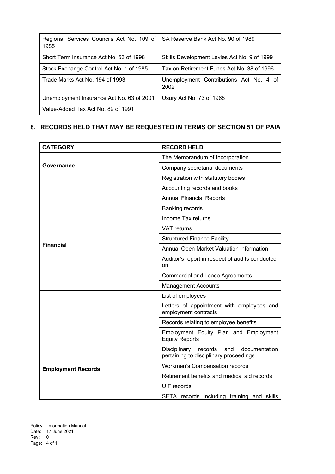| Regional Services Councils Act No. 109 of<br>1985 | SA Reserve Bank Act No. 90 of 1989              |
|---------------------------------------------------|-------------------------------------------------|
| Short Term Insurance Act No. 53 of 1998           | Skills Development Levies Act No. 9 of 1999     |
| Stock Exchange Control Act No. 1 of 1985          | Tax on Retirement Funds Act No. 38 of 1996      |
| Trade Marks Act No. 194 of 1993                   | Unemployment Contributions Act No. 4 of<br>2002 |
| Unemployment Insurance Act No. 63 of 2001         | Usury Act No. 73 of 1968                        |
| Value-Added Tax Act No. 89 of 1991                |                                                 |

# **8. RECORDS HELD THAT MAY BE REQUESTED IN TERMS OF SECTION 51 OF PAIA**

| <b>CATEGORY</b>           | <b>RECORD HELD</b>                                                                        |
|---------------------------|-------------------------------------------------------------------------------------------|
|                           | The Memorandum of Incorporation                                                           |
| Governance                | Company secretarial documents                                                             |
|                           | Registration with statutory bodies                                                        |
|                           | Accounting records and books                                                              |
|                           | <b>Annual Financial Reports</b>                                                           |
|                           | Banking records                                                                           |
|                           | Income Tax returns                                                                        |
|                           | <b>VAT</b> returns                                                                        |
|                           | <b>Structured Finance Facility</b>                                                        |
| <b>Financial</b>          | Annual Open Market Valuation information                                                  |
|                           | Auditor's report in respect of audits conducted<br>on                                     |
|                           | <b>Commercial and Lease Agreements</b>                                                    |
|                           | <b>Management Accounts</b>                                                                |
|                           | List of employees                                                                         |
|                           | Letters of appointment with employees and<br>employment contracts                         |
|                           | Records relating to employee benefits                                                     |
|                           | Employment Equity Plan and Employment<br><b>Equity Reports</b>                            |
|                           | records<br>Disciplinary<br>and<br>documentation<br>pertaining to disciplinary proceedings |
| <b>Employment Records</b> | Workmen's Compensation records                                                            |
|                           | Retirement benefits and medical aid records                                               |
|                           | <b>UIF</b> records                                                                        |
|                           | SETA records including training and skills                                                |

Policy: Information Manual Date: 17 June 2021 Rev: 0 Page: 4 of 11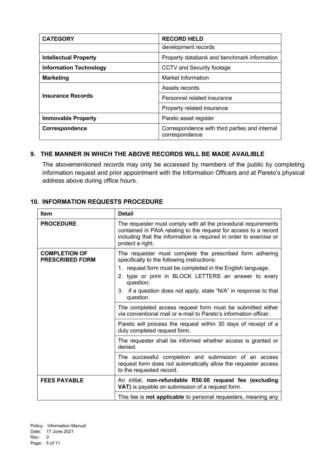| <b>CATEGORY</b>               | <b>RECORD HELD</b>                                               |
|-------------------------------|------------------------------------------------------------------|
|                               | development records                                              |
| <b>Intellectual Property</b>  | Property databank and benchmark information                      |
| <b>Information Technology</b> | CCTV and Security footage                                        |
| <b>Marketing</b>              | Market Information                                               |
|                               | Assets records                                                   |
| <b>Insurance Records</b>      | Personnel related insurance                                      |
|                               | Property related insurance                                       |
| <b>Immovable Property</b>     | Pareto asset register                                            |
| Correspondence                | Correspondence with third parties and internal<br>correspondence |

#### **9. THE MANNER IN WHICH THE ABOVE RECORDS WILL BE MADE AVAILIBLE**

The abovementioned records may only be accessed by members of the public by completing information request and prior appointment with the Information Officers and at Pareto's physical address above during office hours.

#### **10. INFORMATION REQUESTS PROCEDURE**

| <b>Item</b>                                    | <b>Detail</b>                                                                                                                                                                                                                                                                                                                 |
|------------------------------------------------|-------------------------------------------------------------------------------------------------------------------------------------------------------------------------------------------------------------------------------------------------------------------------------------------------------------------------------|
| <b>PROCEDURE</b>                               | The requester must comply with all the procedural requirements<br>contained in PAIA relating to the request for access to a record<br>including that the information is required in order to exercise or<br>protect a right.                                                                                                  |
| <b>COMPLETION OF</b><br><b>PRESCRIBED FORM</b> | The requester must complete the prescribed form adhering<br>specifically to the following instructions:<br>1. request form must be completed in the English language;<br>2. type or print in BLOCK LETTERS an answer to every<br>question;<br>if a question does not apply, state "N/A" in response to that<br>3.<br>question |
|                                                | The completed access request form must be submitted either<br>via conventional mail or e-mail to Pareto's information officer.                                                                                                                                                                                                |
|                                                | Pareto will process the request within 30 days of receipt of a<br>duly completed request form.                                                                                                                                                                                                                                |
|                                                | The requester shall be informed whether access is granted or<br>denied.                                                                                                                                                                                                                                                       |
|                                                | The successful completion and submission of an access<br>request form does not automatically allow the requester access<br>to the requested record.                                                                                                                                                                           |
| <b>FEES PAYABLE</b>                            | An initial, non-refundable R50.00 request fee (excluding<br>VAT) is payable on submission of a request form.                                                                                                                                                                                                                  |
|                                                | This fee is <b>not applicable</b> to personal requesters, meaning any                                                                                                                                                                                                                                                         |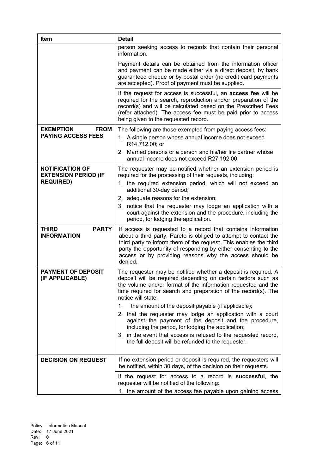| Item                                                  | <b>Detail</b>                                                                                                                                                                                                                                                                                                                                  |
|-------------------------------------------------------|------------------------------------------------------------------------------------------------------------------------------------------------------------------------------------------------------------------------------------------------------------------------------------------------------------------------------------------------|
|                                                       | person seeking access to records that contain their personal<br>information.                                                                                                                                                                                                                                                                   |
|                                                       | Payment details can be obtained from the information officer<br>and payment can be made either via a direct deposit, by bank<br>guaranteed cheque or by postal order (no credit card payments<br>are accepted). Proof of payment must be supplied.                                                                                             |
|                                                       | If the request for access is successful, an <b>access fee</b> will be<br>required for the search, reproduction and/or preparation of the<br>record(s) and will be calculated based on the Prescribed Fees<br>(refer attached). The access fee must be paid prior to access<br>being given to the requested record.                             |
| <b>EXEMPTION</b><br><b>FROM</b>                       | The following are those exempted from paying access fees:                                                                                                                                                                                                                                                                                      |
| <b>PAYING ACCESS FEES</b>                             | 1. A single person whose annual income does not exceed<br>R14,712.00; or                                                                                                                                                                                                                                                                       |
|                                                       | 2. Married persons or a person and his/her life partner whose<br>annual income does not exceed R27,192.00                                                                                                                                                                                                                                      |
| <b>NOTIFICATION OF</b><br><b>EXTENSION PERIOD (IF</b> | The requester may be notified whether an extension period is<br>required for the processing of their requests, including:                                                                                                                                                                                                                      |
| <b>REQUIRED)</b>                                      | 1. the required extension period, which will not exceed an<br>additional 30-day period;                                                                                                                                                                                                                                                        |
|                                                       | 2. adequate reasons for the extension;                                                                                                                                                                                                                                                                                                         |
|                                                       | 3. notice that the requester may lodge an application with a<br>court against the extension and the procedure, including the<br>period, for lodging the application.                                                                                                                                                                           |
| <b>THIRD</b><br><b>PARTY</b><br><b>INFORMATION</b>    | If access is requested to a record that contains information<br>about a third party, Pareto is obliged to attempt to contact the<br>third party to inform them of the request. This enables the third<br>party the opportunity of responding by either consenting to the<br>access or by providing reasons why the access should be<br>denied. |
| <b>PAYMENT OF DEPOSIT</b><br>(IF APPLICABLE)          | The requester may be notified whether a deposit is required. A<br>deposit will be required depending on certain factors such as<br>the volume and/or format of the information requested and the<br>time required for search and preparation of the record(s). The<br>notice will state:                                                       |
|                                                       | the amount of the deposit payable (if applicable);<br>1.                                                                                                                                                                                                                                                                                       |
|                                                       | 2. that the requester may lodge an application with a court<br>against the payment of the deposit and the procedure,<br>including the period, for lodging the application;                                                                                                                                                                     |
|                                                       | 3. in the event that access is refused to the requested record,<br>the full deposit will be refunded to the requester.                                                                                                                                                                                                                         |
| <b>DECISION ON REQUEST</b>                            | If no extension period or deposit is required, the requesters will<br>be notified, within 30 days, of the decision on their requests.                                                                                                                                                                                                          |
|                                                       | If the request for access to a record is <b>successful</b> , the<br>requester will be notified of the following:                                                                                                                                                                                                                               |
|                                                       | 1. the amount of the access fee payable upon gaining access                                                                                                                                                                                                                                                                                    |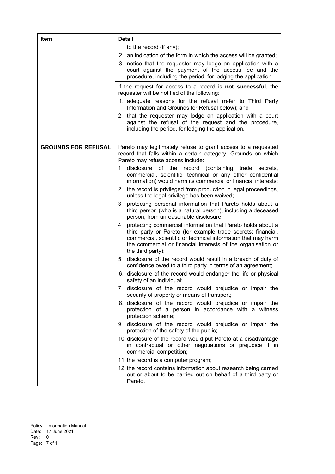| Item                       | <b>Detail</b>                                                                                                                                                                                                                                                                                                                                                                                                                                                                                                                                                                                                                                                                                                                                                                                                                                                                                                                                                                                                                                                                                                                                                                                                                                                                                                                                                   |
|----------------------------|-----------------------------------------------------------------------------------------------------------------------------------------------------------------------------------------------------------------------------------------------------------------------------------------------------------------------------------------------------------------------------------------------------------------------------------------------------------------------------------------------------------------------------------------------------------------------------------------------------------------------------------------------------------------------------------------------------------------------------------------------------------------------------------------------------------------------------------------------------------------------------------------------------------------------------------------------------------------------------------------------------------------------------------------------------------------------------------------------------------------------------------------------------------------------------------------------------------------------------------------------------------------------------------------------------------------------------------------------------------------|
|                            | to the record (if any);<br>2. an indication of the form in which the access will be granted;<br>3. notice that the requester may lodge an application with a<br>court against the payment of the access fee and the<br>procedure, including the period, for lodging the application.                                                                                                                                                                                                                                                                                                                                                                                                                                                                                                                                                                                                                                                                                                                                                                                                                                                                                                                                                                                                                                                                            |
|                            | If the request for access to a record is not successful, the<br>requester will be notified of the following:<br>1. adequate reasons for the refusal (refer to Third Party<br>Information and Grounds for Refusal below); and<br>2. that the requester may lodge an application with a court<br>against the refusal of the request and the procedure,<br>including the period, for lodging the application.                                                                                                                                                                                                                                                                                                                                                                                                                                                                                                                                                                                                                                                                                                                                                                                                                                                                                                                                                      |
| <b>GROUNDS FOR REFUSAL</b> | Pareto may legitimately refuse to grant access to a requested<br>record that falls within a certain category. Grounds on which<br>Pareto may refuse access include:<br>1. disclosure of the record (containing trade<br>secrets,<br>commercial, scientific, technical or any other confidential<br>information) would harm its commercial or financial interests;<br>2. the record is privileged from production in legal proceedings,<br>unless the legal privilege has been waived;<br>3. protecting personal information that Pareto holds about a<br>third person (who is a natural person), including a deceased<br>person, from unreasonable disclosure.<br>4. protecting commercial information that Pareto holds about a<br>third party or Pareto (for example trade secrets: financial,<br>commercial, scientific or technical information that may harm<br>the commercial or financial interests of the organisation or<br>the third party);<br>5. disclosure of the record would result in a breach of duty of<br>confidence owed to a third party in terms of an agreement;<br>6. disclosure of the record would endanger the life or physical<br>safety of an individual;<br>7. disclosure of the record would prejudice or impair the<br>security of property or means of transport;<br>8. disclosure of the record would prejudice or impair the |
|                            | protection of a person in accordance with a witness<br>protection scheme;<br>9. disclosure of the record would prejudice or impair the<br>protection of the safety of the public;<br>10. disclosure of the record would put Pareto at a disadvantage<br>in contractual or other negotiations or prejudice it in<br>commercial competition;<br>11. the record is a computer program;<br>12. the record contains information about research being carried<br>out or about to be carried out on behalf of a third party or<br>Pareto.                                                                                                                                                                                                                                                                                                                                                                                                                                                                                                                                                                                                                                                                                                                                                                                                                              |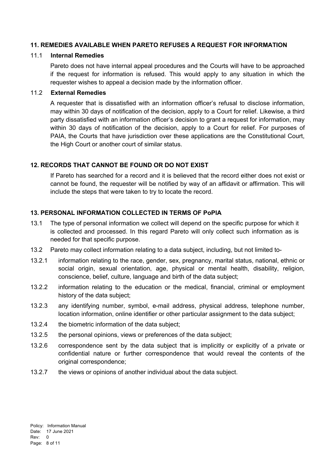#### **11. REMEDIES AVAILABLE WHEN PARETO REFUSES A REQUEST FOR INFORMATION**

#### 11.1 **Internal Remedies**

Pareto does not have internal appeal procedures and the Courts will have to be approached if the request for information is refused. This would apply to any situation in which the requester wishes to appeal a decision made by the information officer.

#### 11.2 **External Remedies**

A requester that is dissatisfied with an information officer's refusal to disclose information, may within 30 days of notification of the decision, apply to a Court for relief. Likewise, a third party dissatisfied with an information officer's decision to grant a request for information, may within 30 days of notification of the decision, apply to a Court for relief. For purposes of PAIA, the Courts that have jurisdiction over these applications are the Constitutional Court, the High Court or another court of similar status.

#### **12. RECORDS THAT CANNOT BE FOUND OR DO NOT EXIST**

If Pareto has searched for a record and it is believed that the record either does not exist or cannot be found, the requester will be notified by way of an affidavit or affirmation. This will include the steps that were taken to try to locate the record.

#### **13. PERSONAL INFORMATION COLLECTED IN TERMS OF PoPIA**

- 13.1 The type of personal information we collect will depend on the specific purpose for which it is collected and processed. In this regard Pareto will only collect such information as is needed for that specific purpose.
- 13.2 Pareto may collect information relating to a data subject, including, but not limited to-
- 13.2.1 information relating to the race, gender, sex, pregnancy, marital status, national, ethnic or social origin, sexual orientation, age, physical or mental health, disability, religion, conscience, belief, culture, language and birth of the data subject;
- 13.2.2 information relating to the education or the medical, financial, criminal or employment history of the data subject;
- 13.2.3 any identifying number, symbol, e-mail address, physical address, telephone number, location information, online identifier or other particular assignment to the data subject;
- 13.2.4 the biometric information of the data subject;
- 13.2.5 the personal opinions, views or preferences of the data subject;
- 13.2.6 correspondence sent by the data subject that is implicitly or explicitly of a private or confidential nature or further correspondence that would reveal the contents of the original correspondence:
- 13.2.7 the views or opinions of another individual about the data subject.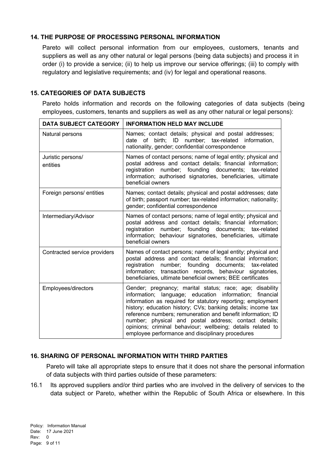# **14. THE PURPOSE OF PROCESSING PERSONAL INFORMATION**

Pareto will collect personal information from our employees, customers, tenants and suppliers as well as any other natural or legal persons (being data subjects) and process it in order (i) to provide a service; (ii) to help us improve our service offerings; (iii) to comply with regulatory and legislative requirements; and (iv) for legal and operational reasons.

#### **15. CATEGORIES OF DATA SUBJECTS**

Pareto holds information and records on the following categories of data subjects (being employees, customers, tenants and suppliers as well as any other natural or legal persons):

| <b>DATA SUBJECT CATEGORY</b>  | <b>INFORMATION HELD MAY INCLUDE</b>                                                                                                                                                                                                                                                                                                                                                                                                                                                           |
|-------------------------------|-----------------------------------------------------------------------------------------------------------------------------------------------------------------------------------------------------------------------------------------------------------------------------------------------------------------------------------------------------------------------------------------------------------------------------------------------------------------------------------------------|
| Natural persons               | Names; contact details; physical and postal addresses;<br>date of birth; ID number; tax-related information,<br>nationality, gender; confidential correspondence                                                                                                                                                                                                                                                                                                                              |
| Juristic persons/<br>entities | Names of contact persons; name of legal entity; physical and<br>postal address and contact details; financial information;<br>registration number; founding documents; tax-related<br>information; authorised signatories, beneficiaries, ultimate<br>beneficial owners                                                                                                                                                                                                                       |
| Foreign persons/ entities     | Names; contact details; physical and postal addresses; date<br>of birth; passport number; tax-related information; nationality;<br>gender; confidential correspondence                                                                                                                                                                                                                                                                                                                        |
| Intermediary/Advisor          | Names of contact persons; name of legal entity; physical and<br>postal address and contact details; financial information;<br>registration number; founding documents; tax-related<br>information; behaviour signatories, beneficiaries, ultimate<br>beneficial owners                                                                                                                                                                                                                        |
| Contracted service providers  | Names of contact persons; name of legal entity; physical and<br>postal address and contact details; financial information;<br>registration number; founding documents; tax-related<br>information; transaction records, behaviour signatories,<br>beneficiaries, ultimate beneficial owners; BEE certificates                                                                                                                                                                                 |
| Employees/directors           | Gender; pregnancy; marital status; race; age; disability<br>information; language; education information; financial<br>information as required for statutory reporting; employment<br>history; education history; CVs; banking details; income tax<br>reference numbers; remuneration and benefit information; ID<br>number; physical and postal address; contact details;<br>opinions; criminal behaviour; wellbeing; details related to<br>employee performance and disciplinary procedures |

# **16. SHARING OF PERSONAL INFORMATION WITH THIRD PARTIES**

Pareto will take all appropriate steps to ensure that it does not share the personal information of data subjects with third parties outside of these parameters:

16.1 Its approved suppliers and/or third parties who are involved in the delivery of services to the data subject or Pareto, whether within the Republic of South Africa or elsewhere. In this

Policy: Information Manual Date: 17 June 2021 Rev: 0 Page: 9 of 11